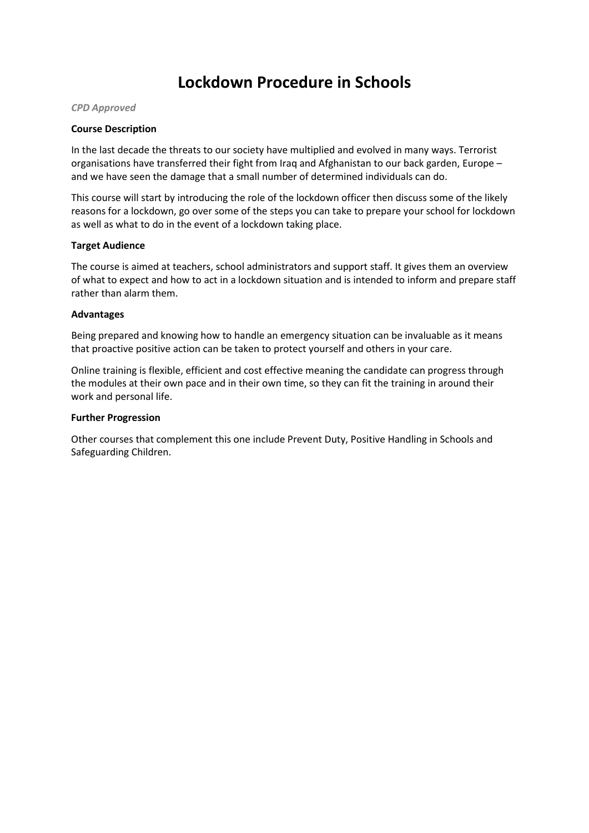# **Lockdown Procedure in Schools**

#### *CPD Approved*

### **Course Description**

In the last decade the threats to our society have multiplied and evolved in many ways. Terrorist organisations have transferred their fight from Iraq and Afghanistan to our back garden, Europe – and we have seen the damage that a small number of determined individuals can do.

This course will start by introducing the role of the lockdown officer then discuss some of the likely reasons for a lockdown, go over some of the steps you can take to prepare your school for lockdown as well as what to do in the event of a lockdown taking place.

#### **Target Audience**

The course is aimed at teachers, school administrators and support staff. It gives them an overview of what to expect and how to act in a lockdown situation and is intended to inform and prepare staff rather than alarm them.

#### **Advantages**

Being prepared and knowing how to handle an emergency situation can be invaluable as it means that proactive positive action can be taken to protect yourself and others in your care.

Online training is flexible, efficient and cost effective meaning the candidate can progress through the modules at their own pace and in their own time, so they can fit the training in around their work and personal life.

#### **Further Progression**

Other courses that complement this one include Prevent Duty, Positive Handling in Schools and Safeguarding Children.